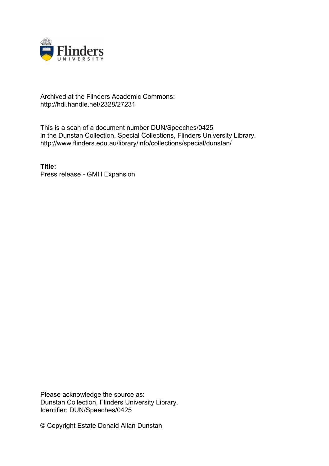

## Archived at the Flinders Academic Commons: http://hdl.handle.net/2328/27231

This is a scan of a document number DUN/Speeches/0425 in the Dunstan Collection, Special Collections, Flinders University Library. http://www.flinders.edu.au/library/info/collections/special/dunstan/

**Title:** Press release - GMH Expansion

Please acknowledge the source as: Dunstan Collection, Flinders University Library. Identifier: DUN/Speeches/0425

© Copyright Estate Donald Allan Dunstan